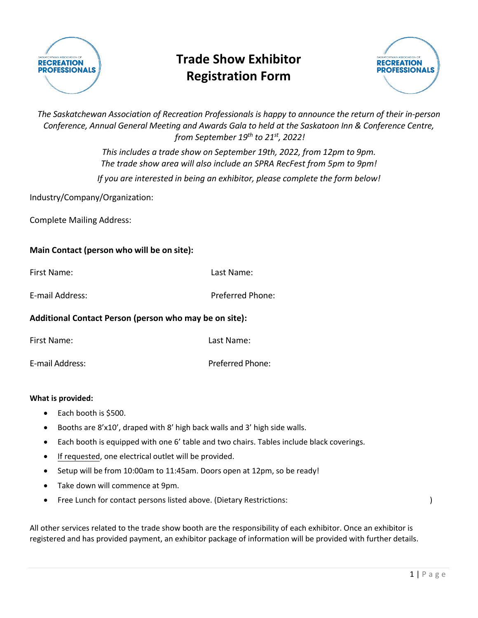

# **Trade Show Exhibitor Registration Form**



*The Saskatchewan Association of Recreation Professionals is happy to announce the return of their in-person Conference, Annual General Meeting and Awards Gala to held at the Saskatoon Inn & Conference Centre, from September 19th to 21st, 2022!* 

> *This includes a trade show on September 19th, 2022, from 12pm to 9pm. The trade show area will also include an SPRA RecFest from 5pm to 9pm! If you are interested in being an exhibitor, please complete the form below!*

Industry/Company/Organization:

Complete Mailing Address:

## **Main Contact (person who will be on site):**

| Additional Contact Person (person who may be on site): |                  |  |
|--------------------------------------------------------|------------------|--|
| E-mail Address:                                        | Preferred Phone: |  |
| First Name:                                            | Last Name:       |  |

| First Name:     | Last Name:       |
|-----------------|------------------|
| E-mail Address: | Preferred Phone: |

## **What is provided:**

- Each booth is \$500.
- Booths are 8'x10', draped with 8' high back walls and 3' high side walls.
- Each booth is equipped with one 6' table and two chairs. Tables include black coverings.
- If requested, one electrical outlet will be provided.
- Setup will be from 10:00am to 11:45am. Doors open at 12pm, so be ready!
- Take down will commence at 9pm.
- Free Lunch for contact persons listed above. (Dietary Restrictions:  $\qquad \qquad \qquad$ )

All other services related to the trade show booth are the responsibility of each exhibitor. Once an exhibitor is registered and has provided payment, an exhibitor package of information will be provided with further details.